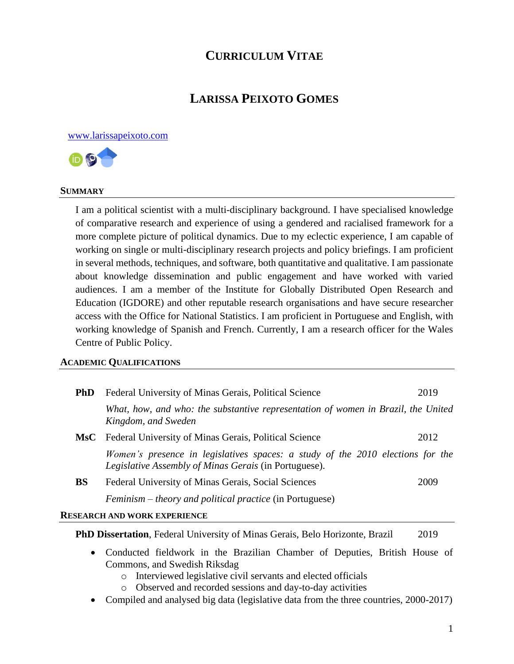# **CURRICULUM VITAE**

# **LARISSA PEIXOTO GOMES**

#### [www.larissapeixoto.com](http://www.larissapeixoto.com/)



#### **SUMMARY**

I am a political scientist with a multi-disciplinary background. I have specialised knowledge of comparative research and experience of using a gendered and racialised framework for a more complete picture of political dynamics. Due to my eclectic experience, I am capable of working on single or multi-disciplinary research projects and policy briefings. I am proficient in several methods, techniques, and software, both quantitative and qualitative. I am passionate about knowledge dissemination and public engagement and have worked with varied audiences. I am a member of the Institute for Globally Distributed Open Research and Education (IGDORE) and other reputable research organisations and have secure researcher access with the Office for National Statistics. I am proficient in Portuguese and English, with working knowledge of Spanish and French. Currently, I am a research officer for the Wales Centre of Public Policy.

#### **ACADEMIC QUALIFICATIONS**

| <b>PhD</b>                          | Federal University of Minas Gerais, Political Science                                                                                          | 2019 |  |  |  |
|-------------------------------------|------------------------------------------------------------------------------------------------------------------------------------------------|------|--|--|--|
|                                     | What, how, and who: the substantive representation of women in Brazil, the United<br>Kingdom, and Sweden                                       |      |  |  |  |
|                                     | MsC Federal University of Minas Gerais, Political Science                                                                                      | 2012 |  |  |  |
|                                     | Women's presence in legislatives spaces: a study of the 2010 elections for the<br><i>Legislative Assembly of Minas Gerais (in Portuguese).</i> |      |  |  |  |
| <b>BS</b>                           | Federal University of Minas Gerais, Social Sciences                                                                                            | 2009 |  |  |  |
|                                     | <i>Feminism – theory and political practice</i> (in Portuguese)                                                                                |      |  |  |  |
| <b>RESEARCH AND WORK EXPERIENCE</b> |                                                                                                                                                |      |  |  |  |

**PhD Dissertation**, Federal University of Minas Gerais, Belo Horizonte, Brazil 2019

- Conducted fieldwork in the Brazilian Chamber of Deputies, British House of Commons, and Swedish Riksdag
	- o Interviewed legislative civil servants and elected officials
	- o Observed and recorded sessions and day-to-day activities
- Compiled and analysed big data (legislative data from the three countries, 2000-2017)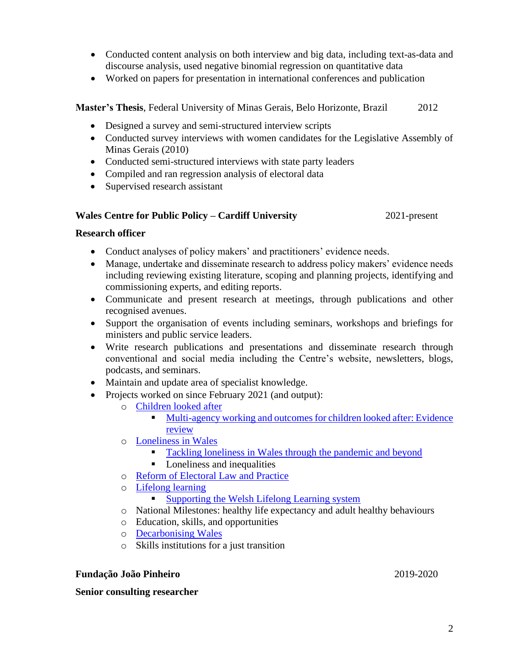- Conducted content analysis on both interview and big data, including text-as-data and discourse analysis, used negative binomial regression on quantitative data
- Worked on papers for presentation in international conferences and publication

**Master's Thesis**, Federal University of Minas Gerais, Belo Horizonte, Brazil 2012

- Designed a survey and semi-structured interview scripts
- Conducted survey interviews with women candidates for the Legislative Assembly of Minas Gerais (2010)
- Conducted semi-structured interviews with state party leaders
- Compiled and ran regression analysis of electoral data
- Supervised research assistant

#### **Wales Centre for Public Policy – Cardiff University** 2021-present

#### **Research officer**

- Conduct analyses of policy makers' and practitioners' evidence needs.
- Manage, undertake and disseminate research to address policy makers' evidence needs including reviewing existing literature, scoping and planning projects, identifying and commissioning experts, and editing reports.
- Communicate and present research at meetings, through publications and other recognised avenues.
- Support the organisation of events including seminars, workshops and briefings for ministers and public service leaders.
- Write research publications and presentations and disseminate research through conventional and social media including the Centre's website, newsletters, blogs, podcasts, and seminars.
- Maintain and update area of specialist knowledge.
- Projects worked on since February 2021 (and output):
	- o [Children looked after](https://www.wcpp.org.uk/project/children-looked-after/)
		- [Multi-agency working and outcomes for children looked after: Evidence](https://www.wcpp.org.uk/wp-content/uploads/2021/09/Multi-agency-working-and-outcomes-for-children-looked-after-Evidence-review.pdf)  [review](https://www.wcpp.org.uk/wp-content/uploads/2021/09/Multi-agency-working-and-outcomes-for-children-looked-after-Evidence-review.pdf)
	- o [Loneliness in Wales](https://www.wcpp.org.uk/project/loneliness-in-wales/)
		- [Tackling loneliness in Wales through the pandemic and beyond](https://www.wcpp.org.uk/event/tackling-loneliness-in-wales-through-the-pandemic-and-beyond/)
		- Loneliness and inequalities
	- o [Reform of Electoral Law and Practice](https://www.wcpp.org.uk/publication/reform-of-electoral-law-and-practice/)
	- o [Lifelong learning](https://www.wcpp.org.uk/project/supporting-the-welsh-lifelong-learning-system/)
		- [Supporting the Welsh Lifelong Learning system](https://www.wcpp.org.uk/publication/supporting-the-welsh-lifelong-learning-system/)
	- o National Milestones: healthy life expectancy and adult healthy behaviours
	- o Education, skills, and opportunities
	- o [Decarbonising Wales](https://www.wcpp.org.uk/project/decarbonising-wales-energy-industry-land/)
	- o Skills institutions for a just transition

#### **Fundação João Pinheiro** 2019-2020

**Senior consulting researcher**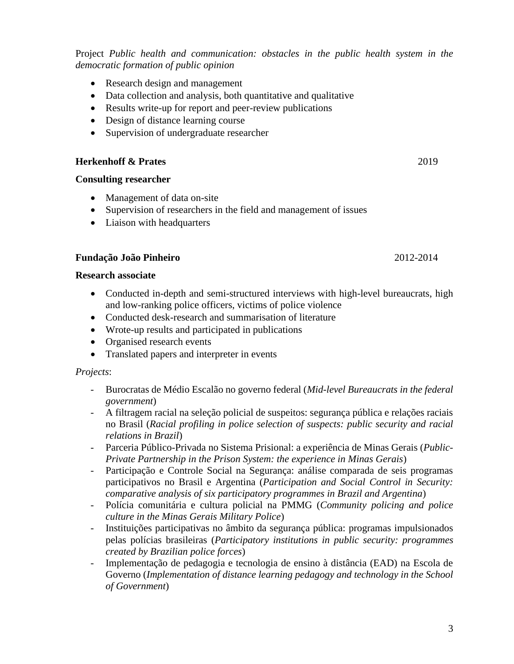3

Project *Public health and communication: obstacles in the public health system in the democratic formation of public opinion*

- Research design and management
- Data collection and analysis, both quantitative and qualitative
- Results write-up for report and peer-review publications
- Design of distance learning course
- Supervision of undergraduate researcher

## **Herkenhoff & Prates** 2019

## **Consulting researcher**

- Management of data on-site
- Supervision of researchers in the field and management of issues
- Liaison with headquarters

## **Fundação João Pinheiro** 2012-2014

## **Research associate**

- Conducted in-depth and semi-structured interviews with high-level bureaucrats, high and low-ranking police officers, victims of police violence
- Conducted desk-research and summarisation of literature
- Wrote-up results and participated in publications
- Organised research events
- Translated papers and interpreter in events

## *Projects*:

- Burocratas de Médio Escalão no governo federal (*Mid-level Bureaucrats in the federal government*)
- A filtragem racial na seleção policial de suspeitos: segurança pública e relações raciais no Brasil (*Racial profiling in police selection of suspects: public security and racial relations in Brazil*)
- Parceria Público-Privada no Sistema Prisional: a experiência de Minas Gerais (*Public-Private Partnership in the Prison System: the experience in Minas Gerais*)
- Participação e Controle Social na Segurança: análise comparada de seis programas participativos no Brasil e Argentina (*Participation and Social Control in Security: comparative analysis of six participatory programmes in Brazil and Argentina*)
- Polícia comunitária e cultura policial na PMMG (*Community policing and police culture in the Minas Gerais Military Police*)
- Instituições participativas no âmbito da segurança pública: programas impulsionados pelas polícias brasileiras (*Participatory institutions in public security: programmes created by Brazilian police forces*)
- Implementação de pedagogia e tecnologia de ensino à distância (EAD) na Escola de Governo (*Implementation of distance learning pedagogy and technology in the School of Government*)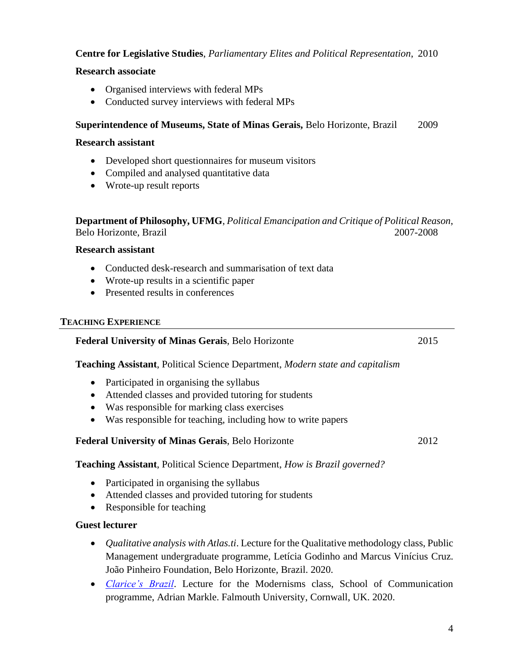## **Centre for Legislative Studies**, *Parliamentary Elites and Political Representation*, 2010

## **Research associate**

- Organised interviews with federal MPs
- Conducted survey interviews with federal MPs

## **Superintendence of Museums, State of Minas Gerais,** Belo Horizonte, Brazil 2009

#### **Research assistant**

- Developed short questionnaires for museum visitors
- Compiled and analysed quantitative data
- Wrote-up result reports

**Department of Philosophy, UFMG**, *Political Emancipation and Critique of Political Reason*, Belo Horizonte, Brazil 2007-2008

#### **Research assistant**

- Conducted desk-research and summarisation of text data
- Wrote-up results in a scientific paper
- Presented results in conferences

## **TEACHING EXPERIENCE**

## **Federal University of Minas Gerais, Belo Horizonte** 2015

**Teaching Assistant**, Political Science Department, *Modern state and capitalism*

- Participated in organising the syllabus
- Attended classes and provided tutoring for students
- Was responsible for marking class exercises
- Was responsible for teaching, including how to write papers

## **Federal University of Minas Gerais**, Belo Horizonte 2012

## **Teaching Assistant**, Political Science Department, *How is Brazil governed?*

- Participated in organising the syllabus
- Attended classes and provided tutoring for students
- Responsible for teaching

## **Guest lecturer**

- *Qualitative analysis with Atlas.ti*. Lecture for the Qualitative methodology class, Public Management undergraduate programme, Letícia Godinho and Marcus Vinícius Cruz. João Pinheiro Foundation, Belo Horizonte, Brazil. 2020.
- *[Clarice's Brazil](https://www.youtube.com/watch?v=9Bi5lcAtzo0)*. Lecture for the Modernisms class, School of Communication programme, Adrian Markle. Falmouth University, Cornwall, UK. 2020.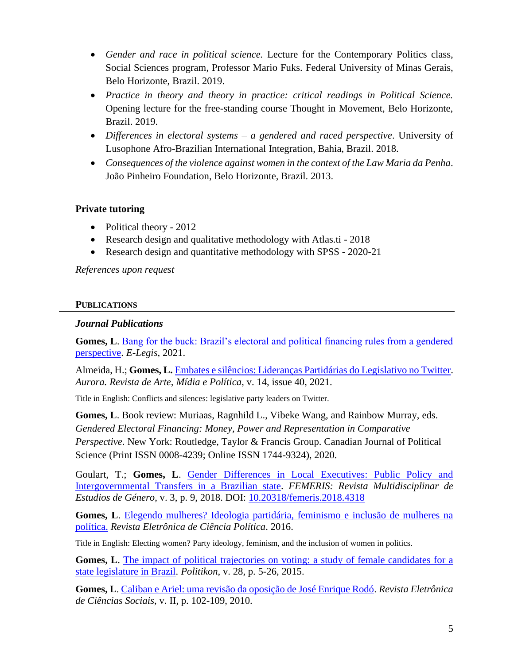- *Gender and race in political science.* Lecture for the Contemporary Politics class, Social Sciences program, Professor Mario Fuks. Federal University of Minas Gerais, Belo Horizonte, Brazil. 2019.
- *Practice in theory and theory in practice: critical readings in Political Science.* Opening lecture for the free-standing course Thought in Movement, Belo Horizonte, Brazil. 2019.
- *Differences in electoral systems – a gendered and raced perspective*. University of Lusophone Afro-Brazilian International Integration, Bahia, Brazil. 2018.
- *Consequences of the violence against women in the context of the Law Maria da Penha*. João Pinheiro Foundation, Belo Horizonte, Brazil. 2013.

## **Private tutoring**

- Political theory 2012
- Research design and qualitative methodology with Atlas.ti 2018
- Research design and quantitative methodology with SPSS 2020-21

*References upon request*

#### **PUBLICATIONS**

#### *Journal Publications*

Gomes, L. Bang for the buck: Brazil's electoral and political financing rules from a gendered [perspective.](https://e-legis.camara.leg.br/cefor/index.php/e-legis/article/view/627) *E-Legis*, 2021.

Almeida, H.; **Gomes, L.** [Embates e silêncios: Lideranças Partidárias do Legislativo no Twitter.](https://revistas.pucsp.br/index.php/aurora/article/view/54005/pdf) *Aurora. Revista de Arte, Mídia e Política*, v. 14, issue 40, 2021.

Title in English: Conflicts and silences: legislative party leaders on Twitter.

**Gomes, L**. Book review: Muriaas, Ragnhild L., Vibeke Wang, and Rainbow Murray, eds. *Gendered Electoral Financing: Money, Power and Representation in Comparative Perspective*. New York: Routledge, Taylor & Francis Group. Canadian Journal of Political Science (Print ISSN 0008-4239; Online ISSN 1744-9324), 2020.

Goulart, T.; **Gomes, L**. [Gender Differences in Local Executives: Public Policy and](https://e-revistas.uc3m.es/index.php/FEMERIS/article/view/4318)  [Intergovernmental Transfers in a Brazilian state.](https://e-revistas.uc3m.es/index.php/FEMERIS/article/view/4318) *FEMERIS: Revista Multidisciplinar de Estudios de Género*, v. 3, p. 9, 2018. DOI: [10.20318/femeris.2018.4318](https://doi.org/10.20318/femeris.2018.4318)

**Gomes, L**. [Elegendo mulheres? Ideologia partidária, feminismo e inclusão de mulheres na](https://revistas.ufpr.br/politica/article/view/45321)  [política.](https://revistas.ufpr.br/politica/article/view/45321) *Revista Eletrônica de Ciência Política*. 2016.

Title in English: Electing women? Party ideology, feminism, and the inclusion of women in politics.

**Gomes, L**. [The impact of political trajectories on voting: a study of female candidates for a](http://www.iapss.org/wp-content/uploads/2014/10/Politikon-Volume-28-December-2015.pdf)  [state legislature in Brazil.](http://www.iapss.org/wp-content/uploads/2014/10/Politikon-Volume-28-December-2015.pdf) *Politikon*, v. 28, p. 5-26, 2015.

**Gomes, L**. [Caliban e Ariel: uma revisão da oposição de José Enrique Rodó.](http://www.sociais.ufu.br/recs/v2n1/102-109.pdf) *Revista Eletrônica de Ciências Sociais*, v. II, p. 102-109, 2010.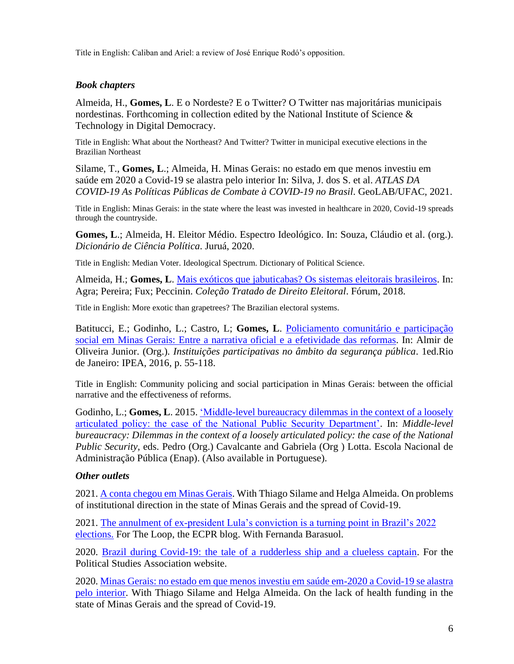Title in English: Caliban and Ariel: a review of José Enrique Rodó's opposition.

## *Book chapters*

Almeida, H., **Gomes, L**. E o Nordeste? E o Twitter? O Twitter nas majoritárias municipais nordestinas. Forthcoming in collection edited by the National Institute of Science  $\&$ Technology in Digital Democracy.

Title in English: What about the Northeast? And Twitter? Twitter in municipal executive elections in the Brazilian Northeast

Silame, T., **Gomes, L**.; Almeida, H. Minas Gerais: no estado em que menos investiu em saúde em 2020 a Covid-19 se alastra pelo interior In: Silva, J. dos S. et al. *ATLAS DA COVID-19 As Políticas Públicas de Combate à COVID-19 no Brasil*. GeoLAB/UFAC, 2021.

Title in English: Minas Gerais: in the state where the least was invested in healthcare in 2020, Covid-19 spreads through the countryside.

**Gomes, L**.; Almeida, H. Eleitor Médio. Espectro Ideológico. In: Souza, Cláudio et al. (org.). *Dicionário de Ciência Política*. Juruá, 2020.

Title in English: Median Voter. Ideological Spectrum. Dictionary of Political Science.

Almeida, H.; **Gomes, L**. [Mais exóticos que jabuticabas? Os sistemas eleitorais brasileiros.](https://www.larissapeixoto.com/publications) In: Agra; Pereira; Fux; Peccinin. *Coleção Tratado de Direito Eleitoral*. Fórum, 2018.

Title in English: More exotic than grapetrees? The Brazilian electoral systems.

Batitucci, E.; Godinho, L.; Castro, L; **Gomes, L**. [Policiamento comunitário e participação](https://bit.ly/37OpwQB)  [social em Minas Gerais: Entre a narrativa oficial e a efetividade das reformas.](https://bit.ly/37OpwQB) In: Almir de Oliveira Junior. (Org.). *Instituições participativas no âmbito da segurança pública*. 1ed.Rio de Janeiro: IPEA, 2016, p. 55-118.

Title in English: Community policing and social participation in Minas Gerais: between the official narrative and the effectiveness of reforms.

Godinho, L.; **Gomes, L**. 2015. ['Middle-level bureaucracy dilemmas in the context of a loosely](https://bit.ly/3jiwe70)  [articulated policy: the case of the National Public Security Department'.](https://bit.ly/3jiwe70) In: *Middle-level bureaucracy: Dilemmas in the context of a loosely articulated policy: the case of the National Public Security*, eds. Pedro (Org.) Cavalcante and Gabriela (Org ) Lotta. Escola Nacional de Administração Pública (Enap). (Also available in Portuguese).

#### *Other outlets*

2021. [A conta chegou em Minas Gerais.](https://politica.estadao.com.br/blogs/gestao-politica-e-sociedade/a-conta-chegou-em-minas-gerais/) With Thiago Silame and Helga Almeida. On problems of institutional direction in the state of Minas Gerais and the spread of Covid-19.

2021. [The annulment of ex-president Lula's conviction is a turning point in Brazil's 2022](:%20https:/theloop.ecpr.eu/the-annulment-of-ex-president-lulas-conviction-is-a-turning-point-in-brazils-2022-elections/)  [elections.](:%20https:/theloop.ecpr.eu/the-annulment-of-ex-president-lulas-conviction-is-a-turning-point-in-brazils-2022-elections/) For The Loop, the ECPR blog. With Fernanda Barasuol.

2020. [Brazil during Covid-19: the tale of a rudderless ship and a clueless captain.](https://www.psa.ac.uk/psa/news/brazil-during-covid-19-tale-rudderless-ship-and-clueless-captain) For the Political Studies Association website.

2020. [Minas Gerais: no estado em que menos investiu em saúde em-2020 a Covid-19 se alastra](https://politica.estadao.com.br/blogs/gestao-politica-e-sociedade/minas-gerais-no-estado-em-que-menos-investiu-em-saude-em-2020-a-covid-19-se-alastra-pelo-interior/)  [pelo interior.](https://politica.estadao.com.br/blogs/gestao-politica-e-sociedade/minas-gerais-no-estado-em-que-menos-investiu-em-saude-em-2020-a-covid-19-se-alastra-pelo-interior/) With Thiago Silame and Helga Almeida. On the lack of health funding in the state of Minas Gerais and the spread of Covid-19.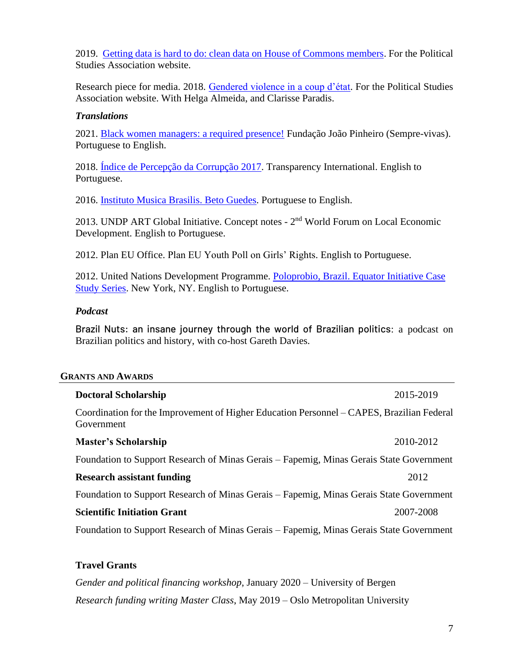2019. [Getting data is hard to do: clean data on House of Commons members.](https://www.psa.ac.uk/psa/news/getting-data-hard-do-clean-data-house-commons-members) For the Political Studies Association website.

Research piece for media. 2018. [Gendered violence in a coup d'état.](https://www.psa.ac.uk/psa/news/gendered-violence-coup-d%E2%80%99%C3%A9tat) For the Political Studies Association website. With Helga Almeida, and Clarisse Paradis.

#### *Translations*

2021. [Black women managers: a required presence!](https://drive.google.com/file/d/1aejFyOO6J8pPNMrqS1-UorJAOcgpIXXr/view) Fundação João Pinheiro (Sempre-vivas). Portuguese to English.

2018. [Índice de Percepção da Corrupção 2017.](https://www.legiscompliance.com.br/images/pdf/indice_percepcao_corrupcao_2017.pdf) Transparency International. English to Portuguese.

2016. [Instituto Musica Brasilis. Beto Guedes.](https://musicabrasilis.com/composers/beto-guedes) Portuguese to English.

2013. UNDP ART Global Initiative. Concept notes - 2<sup>nd</sup> World Forum on Local Economic Development. English to Portuguese.

2012. Plan EU Office. Plan EU Youth Poll on Girls' Rights. English to Portuguese.

2012. United Nations Development Programme. Poloprobio, Brazil. Equator Initiative Case [Study Series.](https://www.equatorinitiative.org/wp-content/uploads/2017/05/case_1_1363900242_PT.pdf) New York, NY. English to Portuguese.

#### *Podcast*

Brazil Nuts: an insane journey through the world of Brazilian politics: a podcast on Brazilian politics and history, with co-host Gareth Davies.

#### **GRANTS AND AWARDS**

# **Doctoral Scholarship** 2015-2019 Coordination for the Improvement of Higher Education Personnel – CAPES, Brazilian Federal Government **Master's Scholarship** 2010-2012 Foundation to Support Research of Minas Gerais – Fapemig, Minas Gerais State Government **Research assistant funding 2012** Foundation to Support Research of Minas Gerais – Fapemig, Minas Gerais State Government

**Scientific Initiation Grant** 2007-2008

Foundation to Support Research of Minas Gerais – Fapemig, Minas Gerais State Government

## **Travel Grants**

*Gender and political financing workshop*, January 2020 – University of Bergen *Research funding writing Master Class*, May 2019 – Oslo Metropolitan University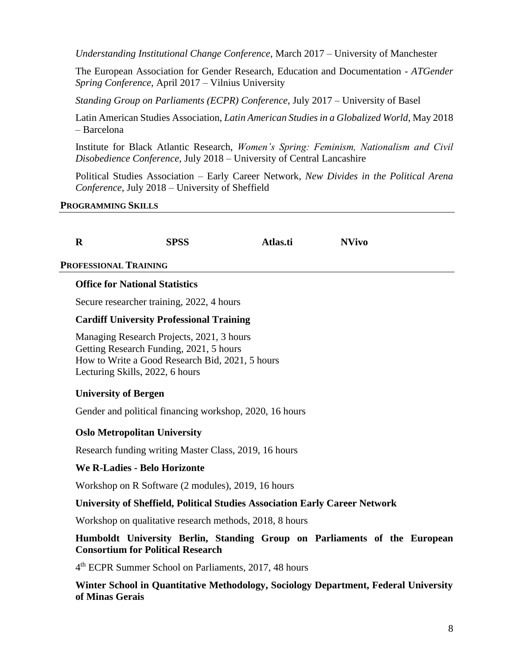*Understanding Institutional Change Conference*, March 2017 – University of Manchester

The European Association for Gender Research, Education and Documentation - *ATGender Spring Conference*, April 2017 – Vilnius University

*Standing Group on Parliaments (ECPR) Conference*, July 2017 – University of Basel

Latin American Studies Association, *Latin American Studies in a Globalized World*, May 2018 – Barcelona

Institute for Black Atlantic Research, *Women's Spring: Feminism, Nationalism and Civil Disobedience Conference*, July 2018 – University of Central Lancashire

Political Studies Association – Early Career Network, *New Divides in the Political Arena Conference*, July 2018 – University of Sheffield

## **PROGRAMMING SKILLS**

| R                     | <b>SPSS</b>                                                                                                                                                                | Atlas.ti | <b>NVivo</b> |  |  |
|-----------------------|----------------------------------------------------------------------------------------------------------------------------------------------------------------------------|----------|--------------|--|--|
| PROFESSIONAL TRAINING |                                                                                                                                                                            |          |              |  |  |
|                       | <b>Office for National Statistics</b>                                                                                                                                      |          |              |  |  |
|                       | Secure researcher training, 2022, 4 hours                                                                                                                                  |          |              |  |  |
|                       | <b>Cardiff University Professional Training</b>                                                                                                                            |          |              |  |  |
|                       | Managing Research Projects, 2021, 3 hours<br>Getting Research Funding, 2021, 5 hours<br>How to Write a Good Research Bid, 2021, 5 hours<br>Lecturing Skills, 2022, 6 hours |          |              |  |  |
|                       | <b>University of Bergen</b>                                                                                                                                                |          |              |  |  |
|                       | Gender and political financing workshop, 2020, 16 hours                                                                                                                    |          |              |  |  |
|                       | <b>Oslo Metropolitan University</b>                                                                                                                                        |          |              |  |  |
|                       | Research funding writing Master Class, 2019, 16 hours                                                                                                                      |          |              |  |  |
|                       | We R-Ladies - Belo Horizonte                                                                                                                                               |          |              |  |  |
|                       | Workshop on R Software (2 modules), 2019, 16 hours                                                                                                                         |          |              |  |  |
|                       | <b>University of Sheffield, Political Studies Association Early Career Network</b>                                                                                         |          |              |  |  |

Workshop on qualitative research methods, 2018, 8 hours

## **Humboldt University Berlin, Standing Group on Parliaments of the European Consortium for Political Research**

4 th ECPR Summer School on Parliaments, 2017, 48 hours

**Winter School in Quantitative Methodology, Sociology Department, Federal University of Minas Gerais**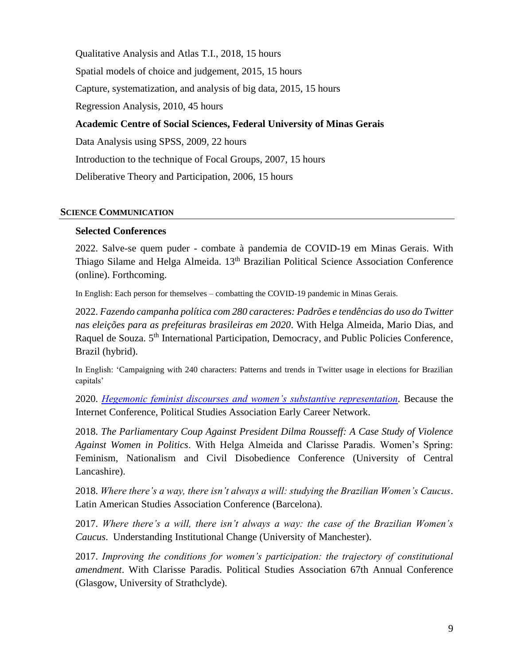Qualitative Analysis and Atlas T.I., 2018, 15 hours Spatial models of choice and judgement, 2015, 15 hours Capture, systematization, and analysis of big data, 2015, 15 hours Regression Analysis, 2010, 45 hours **Academic Centre of Social Sciences, Federal University of Minas Gerais** Data Analysis using SPSS, 2009, 22 hours Introduction to the technique of Focal Groups, 2007, 15 hours Deliberative Theory and Participation, 2006, 15 hours

#### **SCIENCE COMMUNICATION**

#### **Selected Conferences**

2022. Salve-se quem puder - combate à pandemia de COVID-19 em Minas Gerais. With Thiago Silame and Helga Almeida. 13<sup>th</sup> Brazilian Political Science Association Conference (online). Forthcoming.

In English: Each person for themselves – combatting the COVID-19 pandemic in Minas Gerais.

2022. *Fazendo campanha política com 280 caracteres: Padrões e tendências do uso do Twitter nas eleições para as prefeituras brasileiras em 2020*. With Helga Almeida, Mario Dias, and Raquel de Souza. 5<sup>th</sup> International Participation, Democracy, and Public Policies Conference, Brazil (hybrid).

In English: 'Campaigning with 240 characters: Patterns and trends in Twitter usage in elections for Brazilian capitals'

2020. *[Hegemonic feminist discourses and women's substantive representation.](https://youtu.be/4QBRHR7q8Jc)* Because the Internet Conference, Political Studies Association Early Career Network.

2018. *The Parliamentary Coup Against President Dilma Rousseff: A Case Study of Violence Against Women in Politics*. With Helga Almeida and Clarisse Paradis. Women's Spring: Feminism, Nationalism and Civil Disobedience Conference (University of Central Lancashire).

2018. *Where there's a way, there isn't always a will: studying the Brazilian Women's Caucus*. Latin American Studies Association Conference (Barcelona).

2017. *Where there's a will, there isn't always a way: the case of the Brazilian Women's Caucus*. Understanding Institutional Change (University of Manchester).

2017. *Improving the conditions for women's participation: the trajectory of constitutional amendment*. With Clarisse Paradis. Political Studies Association 67th Annual Conference (Glasgow, University of Strathclyde).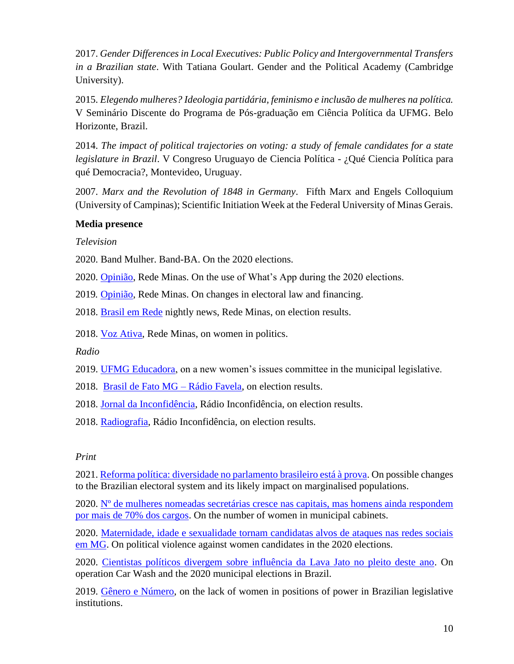2017. *Gender Differences in Local Executives: Public Policy and Intergovernmental Transfers in a Brazilian state*. With Tatiana Goulart. Gender and the Political Academy (Cambridge University).

2015. *Elegendo mulheres? Ideologia partidária, feminismo e inclusão de mulheres na política.* V Seminário Discente do Programa de Pós-graduação em Ciência Política da UFMG. Belo Horizonte, Brazil.

2014. *The impact of political trajectories on voting: a study of female candidates for a state legislature in Brazil*. V Congreso Uruguayo de Ciencia Política - ¿Qué Ciencia Política para qué Democracia?, Montevideo, Uruguay.

2007. *Marx and the Revolution of 1848 in Germany*. Fifth Marx and Engels Colloquium (University of Campinas); Scientific Initiation Week at the Federal University of Minas Gerais.

## **Media presence**

## *Television*

2020. Band Mulher. Band-BA. On the 2020 elections.

2020. [Opinião,](https://www.youtube.com/watch?v=KCiP0a8Ub5k) Rede Minas. On the use of What's App during the 2020 elections.

2019*.* [Opinião,](https://www.youtube.com/watch?v=kf1ShazJ2CM) Rede Minas. On changes in electoral law and financing.

2018. **Brasil em Rede nightly news, Rede Minas, on election results.** 

2018. [Voz Ativa,](https://www.youtube.com/watch?v=cSNM2vQyIUo) Rede Minas, on women in politics.

*Radio*

- 2019. [UFMG Educadora,](https://ufmg.br/comunicacao/noticias/camara-de-bh-vota-propostaque-cria-comissao-de-mulheres) on a new women's issues committee in the municipal legislative.
- 2018. [Brasil de Fato MG –](https://soundcloud.com/radioagenciabdf/ouca-o-programa-brasil-de-fato-edicao-minasgerais-13102018) Rádio Favela, on election results.
- 2018. [Jornal da Inconfidência,](http://inconfidencia.com.br/modules/debaser/singlefile.php?id=16209) Rádio Inconfidência, on election results.
- 2018. [Radiografia,](http://inconfidencia.com.br/modules/debaser/singlefile.php?id=16195.) Rádio Inconfidência, on election results.

## *Print*

2021. [Reforma política: diversidade no parlamento brasileiro está à prova.](https://www.em.com.br/app/noticia/diversidade/2021/08/12/noticia-diversidade,1295158/reforma-politica-diversidade-no-parlamento-brasileiro-esta-a-prova.shtml) On possible changes to the Brazilian electoral system and its likely impact on marginalised populations.

 $2020$ . N<sup>o</sup> de mulheres nomeadas secretárias cresce nas capitais, mas homens ainda respondem [por mais de 70% dos cargos.](https://g1.globo.com/politica/noticia/2021/01/09/no-de-mulheres-nomeadas-secretarias-cresce-nas-capitais-mas-homens-ainda-respondem-por-mais-de-70percent-dos-cargos.ghtml) On the number of women in municipal cabinets.

2020. [Maternidade, idade e sexualidade tornam candidatas alvos de ataques nas redes sociais](https://bhaz.com.br/2020/11/25/maternidade-idade-e-sexualidade-tornam-candidatas-alvos-de-ataques/)  [em MG.](https://bhaz.com.br/2020/11/25/maternidade-idade-e-sexualidade-tornam-candidatas-alvos-de-ataques/) On political violence against women candidates in the 2020 elections.

2020. [Cientistas políticos divergem sobre influência da Lava Jato no pleito deste ano.](https://www.otempo.com.br/hotsites/eleicoes-2020/cientistas-politicos-divergem-sobre-influencia-da-lava-jato-no-pleito-deste-ano-1.2382703) On operation Car Wash and the 2020 municipal elections in Brazil.

2019. [Gênero e Número,](http://www.generonumero.media/mulheres-mesasdiretoras/) on the lack of women in positions of power in Brazilian legislative institutions.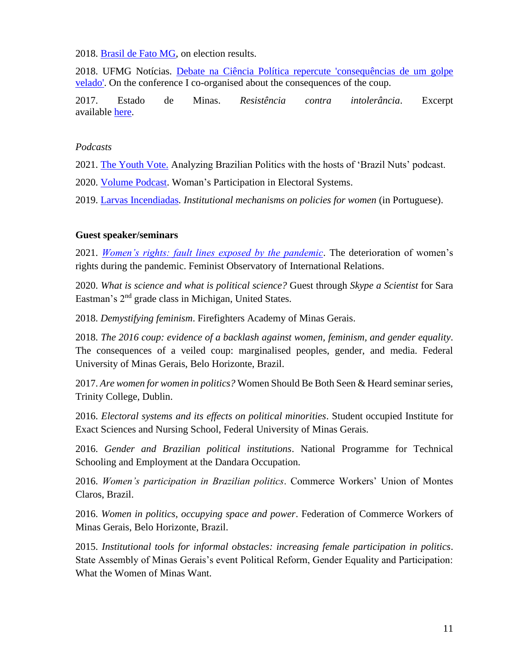2018. [Brasil de Fato MG,](https://www.brasildefato.com.br/2018/10/16/numero-de-mulheres-aumenta-mas-elas-saominoria-no-legislativo-estadual/) on election results.

2018. UFMG Notícias. [Debate na Ciência Política repercute 'consequências de um golpe](https://ufmg.br/comunicacao/noticias/debate-nafafich-repercute-consequencias-de-um-golpe-velado)  [velado'.](https://ufmg.br/comunicacao/noticias/debate-nafafich-repercute-consequencias-de-um-golpe-velado) On the conference I co-organised about the consequences of the coup.

2017. Estado de Minas. *Resistência contra intolerância*. Excerpt available [here.](http://impresso.em.com.br/app/capas/2017/12/31/capa,2114/capa-31-12.shtml)

## *Podcasts*

2021. [The Youth Vote.](https://open.spotify.com/episode/5IAf5r7LvBSqnaCK8Q9riD?si=c3953654d8864057) Analyzing Brazilian Politics with the hosts of 'Brazil Nuts' podcast.

2020. [Volume Podcast.](https://open.spotify.com/episode/7sl0d9i6qdpVsIRhNawblU) Woman's Participation in Electoral Systems.

2019. [Larvas Incendiadas](https://open.spotify.com/episode/2YitGfWFid6u8ldxgp9LgU)*. Institutional mechanisms on policies for women* (in Portuguese).

## **Guest speaker/seminars**

2021. *[Women's rights: fault lines exposed by the pandemic](https://www.youtube.com/watch?v=Go6wPCv2iu0&ab_channel=Observat%C3%B3rioFeministadasRela%C3%A7%C3%B5esInternacionais)*. The deterioration of women's rights during the pandemic. Feminist Observatory of International Relations.

2020. *What is science and what is political science?* Guest through *Skype a Scientist* for Sara Eastman's 2<sup>nd</sup> grade class in Michigan, United States.

2018. *Demystifying feminism*. Firefighters Academy of Minas Gerais.

2018. *The 2016 coup: evidence of a backlash against women, feminism, and gender equality*. The consequences of a veiled coup: marginalised peoples, gender, and media. Federal University of Minas Gerais, Belo Horizonte, Brazil.

2017. *Are women for women in politics?* Women Should Be Both Seen & Heard seminar series, Trinity College, Dublin.

2016. *Electoral systems and its effects on political minorities*. Student occupied Institute for Exact Sciences and Nursing School, Federal University of Minas Gerais.

2016. *Gender and Brazilian political institutions*. National Programme for Technical Schooling and Employment at the Dandara Occupation.

2016. *Women's participation in Brazilian politics*. Commerce Workers' Union of Montes Claros, Brazil.

2016. *Women in politics, occupying space and power*. Federation of Commerce Workers of Minas Gerais, Belo Horizonte, Brazil.

2015. *Institutional tools for informal obstacles: increasing female participation in politics*. State Assembly of Minas Gerais's event Political Reform, Gender Equality and Participation: What the Women of Minas Want.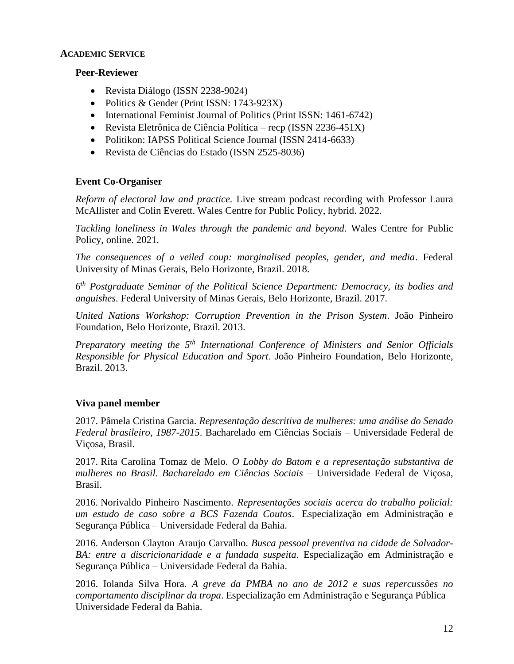#### **Peer-Reviewer**

- Revista Diálogo (ISSN 2238-9024)
- Politics & Gender (Print ISSN: 1743-923X)
- International Feminist Journal of Politics (Print ISSN: 1461-6742)
- Revista Eletrônica de Ciência Política recp (ISSN 2236-451X)
- Politikon: IAPSS Political Science Journal (ISSN 2414-6633)
- Revista de Ciências do Estado (ISSN 2525-8036)

#### **Event Co-Organiser**

*Reform of electoral law and practice.* Live stream podcast recording with Professor Laura McAllister and Colin Everett. Wales Centre for Public Policy, hybrid. 2022.

*Tackling loneliness in Wales through the pandemic and beyond.* Wales Centre for Public Policy, online. 2021.

*The consequences of a veiled coup: marginalised peoples, gender, and media*. Federal University of Minas Gerais, Belo Horizonte, Brazil. 2018.

*6 th Postgraduate Seminar of the Political Science Department: Democracy, its bodies and anguishes*. Federal University of Minas Gerais, Belo Horizonte, Brazil. 2017.

*United Nations Workshop: Corruption Prevention in the Prison System*. João Pinheiro Foundation, Belo Horizonte, Brazil. 2013.

*Preparatory meeting the 5th International Conference of Ministers and Senior Officials Responsible for Physical Education and Sport*. João Pinheiro Foundation, Belo Horizonte, Brazil. 2013.

#### **Viva panel member**

2017. Pâmela Cristina Garcia. *Representação descritiva de mulheres: uma análise do Senado Federal brasileiro, 1987-2015*. Bacharelado em Ciências Sociais – Universidade Federal de Viçosa, Brasil.

2017. Rita Carolina Tomaz de Melo. *O Lobby do Batom e a representação substantiva de mulheres no Brasil. Bacharelado em Ciências Sociais* – Universidade Federal de Viçosa, Brasil.

2016. Norivaldo Pinheiro Nascimento. *Representações sociais acerca do trabalho policial: um estudo de caso sobre a BCS Fazenda Coutos*. Especialização em Administração e Segurança Pública – Universidade Federal da Bahia.

2016. Anderson Clayton Araujo Carvalho. *Busca pessoal preventiva na cidade de Salvador-BA: entre a discricionaridade e a fundada suspeita*. Especialização em Administração e Segurança Pública – Universidade Federal da Bahia.

2016. Iolanda Silva Hora. *A greve da PMBA no ano de 2012 e suas repercussões no comportamento disciplinar da tropa*. Especialização em Administração e Segurança Pública – Universidade Federal da Bahia.